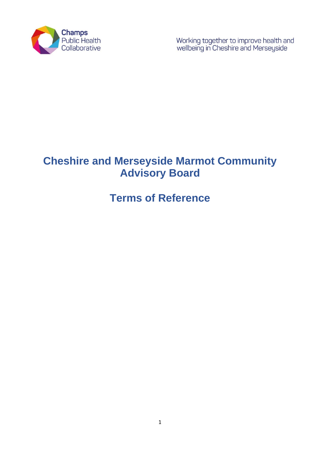

Working together to improve health and<br>wellbeing in Cheshire and Merseyside

# **Cheshire and Merseyside Marmot Community Advisory Board**

# **Terms of Reference**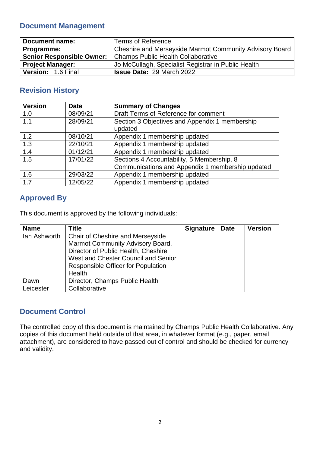## **Document Management**

| Document name:                                                        | Terms of Reference                                  |  |
|-----------------------------------------------------------------------|-----------------------------------------------------|--|
| Cheshire and Merseyside Marmot Community Advisory Board<br>Programme: |                                                     |  |
| <b>Senior Responsible Owner:</b>                                      | Champs Public Health Collaborative                  |  |
| <b>Project Manager:</b>                                               | Jo McCullagh, Specialist Registrar in Public Health |  |
| Version: 1.6 Final                                                    | <b>Issue Date: 29 March 2022</b>                    |  |

## **Revision History**

| <b>Version</b> | <b>Date</b> | <b>Summary of Changes</b>                                                                      |  |
|----------------|-------------|------------------------------------------------------------------------------------------------|--|
| 1.0            | 08/09/21    | Draft Terms of Reference for comment                                                           |  |
| 1.1            | 28/09/21    | Section 3 Objectives and Appendix 1 membership<br>updated                                      |  |
| 1.2            | 08/10/21    | Appendix 1 membership updated                                                                  |  |
| 1.3            | 22/10/21    | Appendix 1 membership updated                                                                  |  |
| 1.4            | 01/12/21    | Appendix 1 membership updated                                                                  |  |
| 1.5            | 17/01/22    | Sections 4 Accountability, 5 Membership, 8<br>Communications and Appendix 1 membership updated |  |
| 1.6            | 29/03/22    | Appendix 1 membership updated                                                                  |  |
| 1.7            | 12/05/22    | Appendix 1 membership updated                                                                  |  |

## **Approved By**

This document is approved by the following individuals:

| <b>Name</b>       | <b>Title</b>                                                                                                                                                                                       | <b>Signature</b> | <b>Date</b> | <b>Version</b> |
|-------------------|----------------------------------------------------------------------------------------------------------------------------------------------------------------------------------------------------|------------------|-------------|----------------|
| lan Ashworth      | Chair of Cheshire and Merseyside<br>Marmot Community Advisory Board,<br>Director of Public Health, Cheshire<br>West and Chester Council and Senior<br>Responsible Officer for Population<br>Health |                  |             |                |
| Dawn<br>Leicester | Director, Champs Public Health<br>Collaborative                                                                                                                                                    |                  |             |                |

### **Document Control**

The controlled copy of this document is maintained by Champs Public Health Collaborative. Any copies of this document held outside of that area, in whatever format (e.g., paper, email attachment), are considered to have passed out of control and should be checked for currency and validity.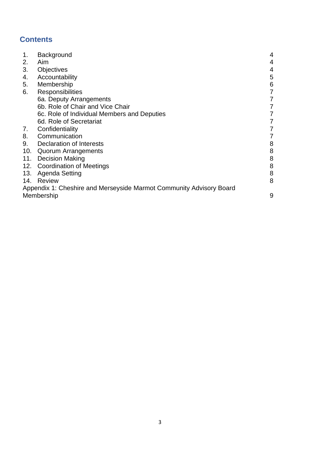## **Contents**

| 1.  | Background                                                          | 4 |
|-----|---------------------------------------------------------------------|---|
| 2.  | Aim                                                                 | 4 |
| 3.  | Objectives                                                          | 4 |
| 4.  | Accountability                                                      | 5 |
| 5.  | Membership                                                          | 6 |
| 6.  | Responsibilities                                                    | 7 |
|     | 6a. Deputy Arrangements                                             | 7 |
|     | 6b. Role of Chair and Vice Chair                                    | 7 |
|     | 6c. Role of Individual Members and Deputies                         | 7 |
|     | 6d. Role of Secretariat                                             | 7 |
| 7.  | Confidentiality                                                     | 7 |
| 8.  | Communication                                                       | 7 |
| 9.  | <b>Declaration of Interests</b>                                     | 8 |
| 10. | <b>Quorum Arrangements</b>                                          | 8 |
| 11. | <b>Decision Making</b>                                              | 8 |
|     | 12. Coordination of Meetings                                        | 8 |
| 13. | Agenda Setting                                                      | 8 |
| 14. | Review                                                              | 8 |
|     | Appendix 1: Cheshire and Merseyside Marmot Community Advisory Board |   |
|     | Membership                                                          | 9 |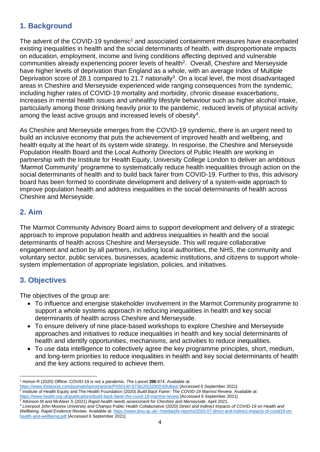## **1. Background**

The advent of the COVID-19 syndemic<sup>1</sup> and associated containment measures have exacerbated existing inequalities in health and the social determinants of health, with disproportionate impacts on education, employment, income and living conditions affecting deprived and vulnerable communities already experiencing poorer levels of health<sup>2</sup>. Overall, Cheshire and Merseyside have higher levels of deprivation than England as a whole, with an average Index of Multiple Deprivation score of 28.1 compared to 21.7 nationally<sup>3</sup>. On a local level, the most disadvantaged areas in Cheshire and Merseyside experienced wide ranging consequences from the syndemic, including higher rates of COVID-19 mortality and morbidity, chronic disease exacerbations, increases in mental health issues and unhealthy lifestyle behaviour such as higher alcohol intake, particularly among those drinking heavily prior to the pandemic, reduced levels of physical activity among the least active groups and increased levels of obesity<sup>4</sup>.

As Cheshire and Merseyside emerges from the COVID-19 syndemic, there is an urgent need to build an inclusive economy that puts the achievement of improved health and wellbeing, and health equity at the heart of its system wide strategy. In response, the Cheshire and Merseyside Population Health Board and the Local Authority Directors of Public Health are working in partnership with the Institute for Health Equity, University College London to deliver an ambitious 'Marmot Community' programme to systematically reduce health inequalities through action on the social determinants of health and to build back fairer from COVID-19. Further to this, this advisory board has been formed to coordinate development and delivery of a system-wide approach to improve population health and address inequalities in the social determinants of health across Cheshire and Merseyside.

### **2. Aim**

The Marmot Community Advisory Board aims to support development and delivery of a strategic approach to improve population health and address inequalities in health and the social determinants of health across Cheshire and Merseyside. This will require collaborative engagement and action by all partners, including local authorities, the NHS, the community and voluntary sector, public services, businesses, academic institutions, and citizens to support wholesystem implementation of appropriate legislation, policies, and initiatives.

## **3. Objectives**

The objectives of the group are:

- To influence and energise stakeholder involvement in the Marmot Community programme to support a whole systems approach in reducing inequalities in health and key social determinants of health across Cheshire and Merseyside.
- To ensure delivery of nine place-based workshops to explore Cheshire and Merseyside approaches and initiatives to reduce inequalities in health and key social determinants of health and identify opportunities, mechanisms, and activities to reduce inequalities.
- To use data intelligence to collectively agree the key programme principles, short, medium, and long-term priorities to reduce inequalities in health and key social determinants of health and the key actions required to achieve them.

<https://www.health.org.uk/publications/build-back-fairer-the-covid-19-marmot-review> [Accessed 6 September 2021] <sup>3</sup> Atkinson M and McAteer S (2021) *Rapid health needs assessment for Cheshire and Merseyside.* April 2021.

<sup>1</sup> Horton R (2020) Offline: COVID-19 is not a pandemic. *The Lancet* **396**:874. Available at:

<sup>&</sup>lt;u>[https://www.thelancet.com/journals/lancet/article/PIIS0140-6736\(20\)32000-6/fulltext](https://www.thelancet.com/journals/lancet/article/PIIS0140-6736(20)32000-6/fulltext)</u> [Accessed 6 September 2021]<br><sup>2</sup> Institute of Health Equity and The Health Foundation (2020) *Build Back Fairer: The COVID-19 Marmot Revi* 

<sup>4</sup> Liverpool John Moores University and Champs Public Health Collaborative (2020) *Direct and Indirect Impacts of COVID-19 on Health and Wellbeing. Rapid Evidence Review.* Available at: [https://www.ljmu.ac.uk/~/media/phi-reports/2020-07-direct-and-indirect-impacts-of-covid19-on-](https://www.ljmu.ac.uk/~/media/phi-reports/2020-07-direct-and-indirect-impacts-of-covid19-on-health-and-wellbeing.pdf)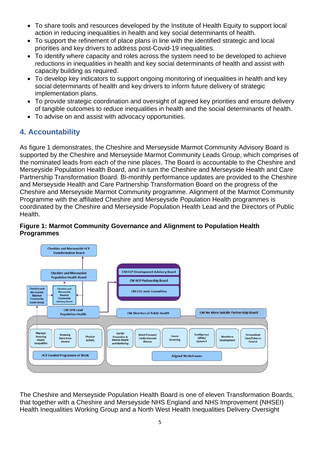- To share tools and resources developed by the Institute of Health Equity to support local action in reducing inequalities in health and key social determinants of health.
- To support the refinement of place plans in line with the identified strategic and local priorities and key drivers to address post-Covid-19 inequalities.
- To identify where capacity and roles across the system need to be developed to achieve reductions in inequalities in health and key social determinants of health and assist with capacity building as required.
- To develop key indicators to support ongoing monitoring of inequalities in health and key social determinants of health and key drivers to inform future delivery of strategic implementation plans.
- To provide strategic coordination and oversight of agreed key priorities and ensure delivery of tangible outcomes to reduce inequalities in health and the social determinants of health.
- To advise on and assist with advocacy opportunities.

## **4. Accountability**

As figure 1 demonstrates, the Cheshire and Merseyside Marmot Community Advisory Board is supported by the Cheshire and Merseyside Marmot Community Leads Group, which comprises of the nominated leads from each of the nine places. The Board is accountable to the Cheshire and Merseyside Population Health Board, and in turn the Cheshire and Merseyside Health and Care Partnership Transformation Board. Bi-monthly performance updates are provided to the Cheshire and Merseyside Health and Care Partnership Transformation Board on the progress of the Cheshire and Merseyside Marmot Community programme. Alignment of the Marmot Community Programme with the affiliated Cheshire and Merseyside Population Health programmes is coordinated by the Cheshire and Merseyside Population Health Lead and the Directors of Public Health.

#### **Figure 1: Marmot Community Governance and Alignment to Population Health Programmes**



The Cheshire and Merseyside Population Health Board is one of eleven Transformation Boards, that together with a Cheshire and Merseyside NHS England and NHS Improvement (NHSEI) Health Inequalities Working Group and a North West Health Inequalities Delivery Oversight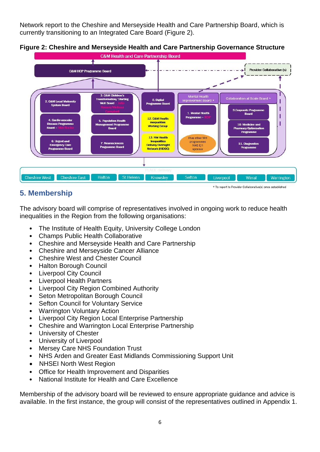Network report to the Cheshire and Merseyside Health and Care Partnership Board, which is currently transitioning to an Integrated Care Board (Figure 2).



#### **Figure 2: Cheshire and Merseyside Health and Care Partnership Governance Structure**

### **5. Membership**

The advisory board will comprise of representatives involved in ongoing work to reduce health inequalities in the Region from the following organisations:

- The Institute of Health Equity, University College London
- Champs Public Health Collaborative
- Cheshire and Merseyside Health and Care Partnership
- Cheshire and Merseyside Cancer Alliance
- Cheshire West and Chester Council
- Halton Borough Council
- Liverpool City Council
- Liverpool Health Partners
- Liverpool City Region Combined Authority
- Seton Metropolitan Borough Council
- Sefton Council for Voluntary Service
- Warrington Voluntary Action
- Liverpool City Region Local Enterprise Partnership
- Cheshire and Warrington Local Enterprise Partnership
- University of Chester
- University of Liverpool
- Mersey Care NHS Foundation Trust
- NHS Arden and Greater East Midlands Commissioning Support Unit
- NHSEI North West Region
- Office for Health Improvement and Disparities
- National Institute for Health and Care Excellence

Membership of the advisory board will be reviewed to ensure appropriate guidance and advice is available. In the first instance, the group will consist of the representatives outlined in Appendix 1.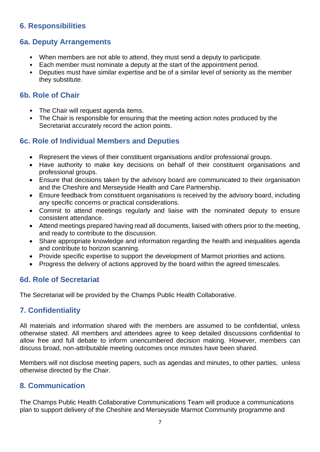## **6. Responsibilities**

#### **6a. Deputy Arrangements**

- When members are not able to attend, they must send a deputy to participate.
- Each member must nominate a deputy at the start of the appointment period.
- Deputies must have similar expertise and be of a similar level of seniority as the member they substitute.

#### **6b. Role of Chair**

- The Chair will request agenda items.
- The Chair is responsible for ensuring that the meeting action notes produced by the Secretariat accurately record the action points.

#### **6c. Role of Individual Members and Deputies**

- Represent the views of their constituent organisations and/or professional groups.
- Have authority to make key decisions on behalf of their constituent organisations and professional groups.
- Ensure that decisions taken by the advisory board are communicated to their organisation and the Cheshire and Merseyside Health and Care Partnership.
- Ensure feedback from constituent organisations is received by the advisory board, including any specific concerns or practical considerations.
- Commit to attend meetings regularly and liaise with the nominated deputy to ensure consistent attendance.
- Attend meetings prepared having read all documents, liaised with others prior to the meeting, and ready to contribute to the discussion.
- Share appropriate knowledge and information regarding the health and inequalities agenda and contribute to horizon scanning.
- Provide specific expertise to support the development of Marmot priorities and actions.
- Progress the delivery of actions approved by the board within the agreed timescales.

#### **6d. Role of Secretariat**

The Secretariat will be provided by the Champs Public Health Collaborative.

### **7. Confidentiality**

All materials and information shared with the members are assumed to be confidential, unless otherwise stated. All members and attendees agree to keep detailed discussions confidential to allow free and full debate to inform unencumbered decision making. However, members can discuss broad, non-attributable meeting outcomes once minutes have been shared.

Members will not disclose meeting papers, such as agendas and minutes, to other parties, unless otherwise directed by the Chair.

#### **8. Communication**

The Champs Public Health Collaborative Communications Team will produce a communications plan to support delivery of the Cheshire and Merseyside Marmot Community programme and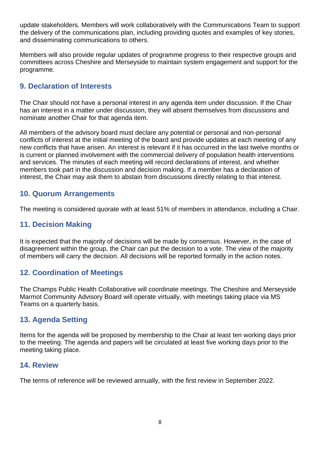update stakeholders. Members will work collaboratively with the Communications Team to support the delivery of the communications plan, including providing quotes and examples of key stories, and disseminating communications to others.

Members will also provide regular updates of programme progress to their respective groups and committees across Cheshire and Merseyside to maintain system engagement and support for the programme.

### **9. Declaration of Interests**

The Chair should not have a personal interest in any agenda item under discussion. If the Chair has an interest in a matter under discussion, they will absent themselves from discussions and nominate another Chair for that agenda item.

All members of the advisory board must declare any potential or personal and non-personal conflicts of interest at the initial meeting of the board and provide updates at each meeting of any new conflicts that have arisen. An interest is relevant if it has occurred in the last twelve months or is current or planned involvement with the commercial delivery of population health interventions and services. The minutes of each meeting will record declarations of interest, and whether members took part in the discussion and decision making. If a member has a declaration of interest, the Chair may ask them to abstain from discussions directly relating to that interest.

### **10. Quorum Arrangements**

The meeting is considered quorate with at least 51% of members in attendance, including a Chair.

## **11. Decision Making**

It is expected that the majority of decisions will be made by consensus. However, in the case of disagreement within the group, the Chair can put the decision to a vote. The view of the majority of members will carry the decision. All decisions will be reported formally in the action notes.

## **12. Coordination of Meetings**

The Champs Public Health Collaborative will coordinate meetings. The Cheshire and Merseyside Marmot Community Advisory Board will operate virtually, with meetings taking place via MS Teams on a quarterly basis.

### **13. Agenda Setting**

Items for the agenda will be proposed by membership to the Chair at least ten working days prior to the meeting. The agenda and papers will be circulated at least five working days prior to the meeting taking place.

#### **14. Review**

The terms of reference will be reviewed annually, with the first review in September 2022.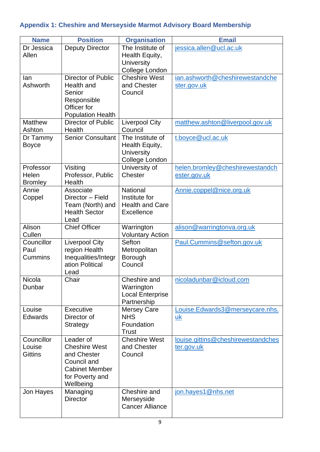# **Appendix 1: Cheshire and Merseyside Marmot Advisory Board Membership**

| <b>Name</b>     | <b>Position</b>              | <b>Organisation</b>                 | <b>Email</b>                       |
|-----------------|------------------------------|-------------------------------------|------------------------------------|
| Dr Jessica      | <b>Deputy Director</b>       | The Institute of                    | jessica.allen@ucl.ac.uk            |
| Allen           |                              | Health Equity,                      |                                    |
|                 |                              | University                          |                                    |
|                 |                              | College London                      |                                    |
| lan<br>Ashworth | <b>Director of Public</b>    | <b>Cheshire West</b>                | ian.ashworth@cheshirewestandche    |
|                 | Health and<br>Senior         | and Chester<br>Council              | ster.gov.uk                        |
|                 | Responsible                  |                                     |                                    |
|                 | Officer for                  |                                     |                                    |
|                 | <b>Population Health</b>     |                                     |                                    |
| <b>Matthew</b>  | <b>Director of Public</b>    | <b>Liverpool City</b>               | matthew.ashton@liverpool.gov.uk    |
| Ashton          | Health                       | Council                             |                                    |
| Dr Tammy        | <b>Senior Consultant</b>     | The Institute of                    | t.boyce@ucl.ac.uk                  |
| <b>Boyce</b>    |                              | Health Equity,                      |                                    |
|                 |                              | <b>University</b><br>College London |                                    |
| Professor       | Visiting                     | University of                       | helen.bromley@cheshirewestandch    |
| Helen           | Professor, Public            | Chester                             | ester.gov.uk                       |
| <b>Bromley</b>  | Health                       |                                     |                                    |
| Annie           | Associate                    | National                            | Annie.coppel@nice.org.uk           |
| Coppel          | Director - Field             | Institute for                       |                                    |
|                 | Team (North) and             | <b>Health and Care</b>              |                                    |
|                 | <b>Health Sector</b><br>Lead | <b>Excellence</b>                   |                                    |
| Alison          | <b>Chief Officer</b>         | Warrington                          | alison@warringtonva.org.uk         |
| Cullen          |                              | <b>Voluntary Action</b>             |                                    |
| Councillor      | <b>Liverpool City</b>        | Sefton                              | Paul.Cummins@sefton.gov.uk         |
| Paul            | region Health                | Metropolitan                        |                                    |
| Cummins         | Inequalities/Integr          | Borough                             |                                    |
|                 | ation Political              | Council                             |                                    |
| <b>Nicola</b>   | Lead<br>Chair                | Cheshire and                        | nicoladunbar@icloud.com            |
| Dunbar          |                              | Warrington                          |                                    |
|                 |                              | <b>Local Enterprise</b>             |                                    |
|                 |                              | Partnership                         |                                    |
| Louise          | Executive                    | <b>Mersey Care</b>                  | Louise.Edwards3@merseycare.nhs.    |
| <b>Edwards</b>  | Director of                  | <b>NHS</b>                          | uk                                 |
|                 | Strategy                     | Foundation<br><b>Trust</b>          |                                    |
| Councillor      | Leader of                    | <b>Cheshire West</b>                | louise.gittins@cheshirewestandches |
| Louise          | <b>Cheshire West</b>         | and Chester                         | ter.gov.uk                         |
| <b>Gittins</b>  | and Chester                  | Council                             |                                    |
|                 | Council and                  |                                     |                                    |
|                 | <b>Cabinet Member</b>        |                                     |                                    |
|                 | for Poverty and              |                                     |                                    |
| Jon Hayes       | Wellbeing<br>Managing        | Cheshire and                        | jon.hayes1@nhs.net                 |
|                 | <b>Director</b>              | Merseyside                          |                                    |
|                 |                              | <b>Cancer Alliance</b>              |                                    |
|                 |                              |                                     |                                    |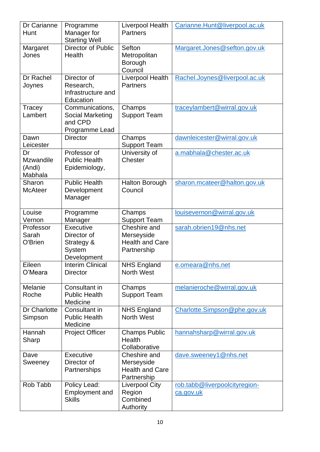| Dr Carianne<br>Hunt                         | Programme<br>Manager for<br><b>Starting Well</b>                           | Liverpool Health<br><b>Partners</b>                                                        | Carianne.Hunt@liverpool.ac.uk                     |
|---------------------------------------------|----------------------------------------------------------------------------|--------------------------------------------------------------------------------------------|---------------------------------------------------|
| Margaret<br>Jones                           | Director of Public<br>Health                                               | Sefton<br>Metropolitan<br>Borough<br>Council                                               | Margaret.Jones@sefton.gov.uk                      |
| Dr Rachel<br>Joynes                         | Director of<br>Research,<br>Infrastructure and<br>Education                | Liverpool Health<br><b>Partners</b>                                                        | Rachel.Joynes@liverpool.ac.uk                     |
| Tracey<br>Lambert                           | Communications,<br><b>Social Marketing</b><br>and CPD<br>Programme Lead    | Champs<br><b>Support Team</b>                                                              | traceylambert@wirral.gov.uk                       |
| Dawn<br>Leicester                           | <b>Director</b>                                                            | Champs<br><b>Support Team</b>                                                              | dawnleicester@wirral.gov.uk                       |
| Dr<br><b>Mzwandile</b><br>(Andi)<br>Mabhala | Professor of<br><b>Public Health</b><br>Epidemiology,                      | University of<br>Chester                                                                   | a.mabhala@chester.ac.uk                           |
| Sharon<br><b>McAteer</b>                    | <b>Public Health</b><br>Development<br>Manager                             | <b>Halton Borough</b><br>Council                                                           | sharon.mcateer@halton.gov.uk                      |
| Louise<br>Vernon                            | Programme                                                                  | Champs                                                                                     | louisevernon@wirral.gov.uk                        |
| Professor<br>Sarah<br>O'Brien               | Manager<br>Executive<br>Director of<br>Strategy &<br>System<br>Development | <b>Support Team</b><br>Cheshire and<br>Merseyside<br><b>Health and Care</b><br>Partnership | sarah.obrien19@nhs.net                            |
| Eileen<br>O'Meara                           | <b>Interim Clinical</b><br><b>Director</b>                                 | <b>NHS England</b><br><b>North West</b>                                                    | e.omeara@nhs.net                                  |
| Melanie<br>Roche                            | Consultant in<br><b>Public Health</b><br>Medicine                          | Champs<br><b>Support Team</b>                                                              | melanieroche@wirral.gov.uk                        |
| Dr Charlotte<br>Simpson                     | Consultant in<br><b>Public Health</b><br>Medicine                          | <b>NHS England</b><br>North West                                                           | Charlotte.Simpson@phe.gov.uk                      |
| Hannah<br>Sharp                             | <b>Project Officer</b>                                                     | <b>Champs Public</b><br>Health<br>Collaborative                                            | hannahsharp@wirral.gov.uk                         |
| Dave<br>Sweeney                             | Executive<br>Director of<br>Partnerships                                   | Cheshire and<br>Merseyside<br><b>Health and Care</b><br>Partnership                        | dave.sweeney1@nhs.net                             |
| Rob Tabb                                    | Policy Lead:<br><b>Employment and</b><br><b>Skills</b>                     | Liverpool City<br>Region<br>Combined<br>Authority                                          | rob.tabb@liverpoolcityregion-<br><u>ca.gov.uk</u> |